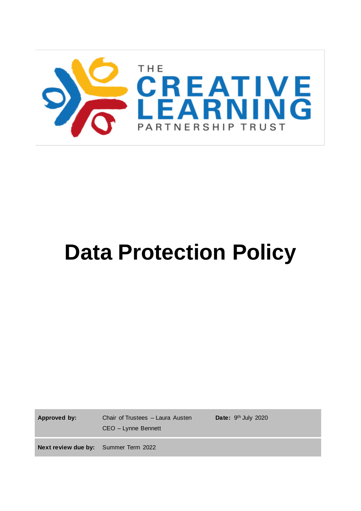

# **Data Protection Policy**

**Approved by:** Chair of Trustees – Laura Austen CEO – Lynne Bennett

Date: 9<sup>th</sup> July 2020

**Next review due by:** Summer Term 2022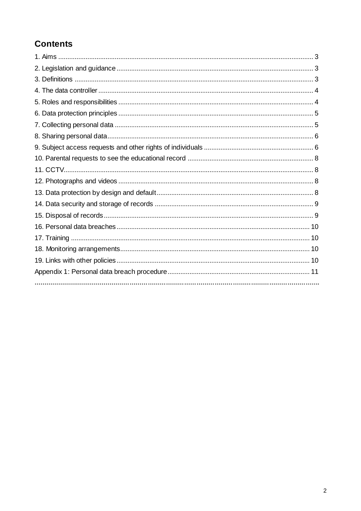# **Contents**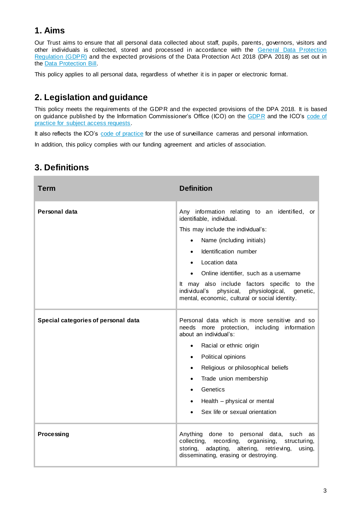# **1. Aims**

Our Trust aims to ensure that all personal data collected about staff, pupils, parents, governors, visitors and other individuals is collected, stored and processed in accordance with the General Data Protection [Regulation \(GDPR\)](http://data.consilium.europa.eu/doc/document/ST-5419-2016-INIT/en/pdf) and the expected provisions of the Data Protection Act 2018 (DPA 2018) as set out in the [Data Protection Bill.](https://publications.parliament.uk/pa/bills/cbill/2017-2019/0153/18153.pdf)

This policy applies to all personal data, regardless of whether it is in paper or electronic format.

# **2. Legislation and guidance**

This policy meets the requirements of the GDPR and the expected provisions of the DPA 2018. It is based on guidance published by the Information Commissioner's Office (ICO) on the [GDPR](https://ico.org.uk/for-organisations/guide-to-the-general-data-protection-regulation-gdpr/) and the ICO's code of [practice for subject access requests.](https://ico.org.uk/media/for-organisations/documents/2014223/subject-access-code-of-practice.pdf)

It also reflects the ICO's [code of practice](https://ico.org.uk/media/for-organisations/documents/1542/cctv-code-of-practice.pdf) for the use of surveillance cameras and personal information.

In addition, this policy complies with our funding agreement and articles of association.

| Term                                | <b>Definition</b>                                                                                                                                                                                                                                                                                                                                                                                                   |
|-------------------------------------|---------------------------------------------------------------------------------------------------------------------------------------------------------------------------------------------------------------------------------------------------------------------------------------------------------------------------------------------------------------------------------------------------------------------|
| Personal data                       | Any information relating to an identified, or<br>identifiable, individual.<br>This may include the individual's:<br>Name (including initials)<br>$\bullet$<br>Identification number<br>Location data<br>$\bullet$<br>Online identifier, such as a username<br>It may also include factors specific to the<br>individual's<br>physical, physiological,<br>genetic,<br>mental, economic, cultural or social identity. |
| Special categories of personal data | Personal data which is more sensitive and so<br>needs more protection, including information<br>about an individual's:<br>Racial or ethnic origin<br>$\bullet$<br>Political opinions<br>$\bullet$<br>Religious or philosophical beliefs<br>$\bullet$<br>Trade union membership<br>$\bullet$<br>Genetics<br>Health - physical or mental<br>Sex life or sexual orientation                                            |
| Processing                          | Anything done to personal<br>data, such<br>as<br>collecting,<br>recording, organising,<br>structuring,<br>adapting, altering, retrieving,<br>storing,<br>using,<br>disseminating, erasing or destroying.                                                                                                                                                                                                            |

## **3. Definitions**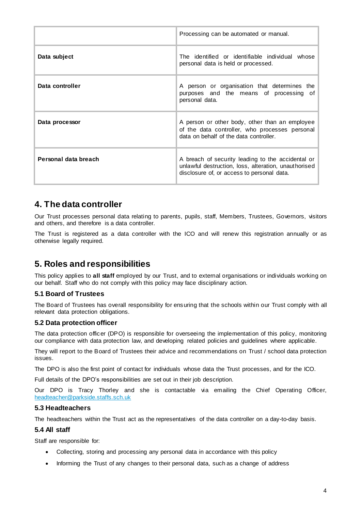|                      | Processing can be automated or manual.                                                                                                                  |
|----------------------|---------------------------------------------------------------------------------------------------------------------------------------------------------|
| Data subject         | The identified or identifiable individual whose<br>personal data is held or processed.                                                                  |
| Data controller      | A person or organisation that determines the<br>purposes and the means of processing of<br>personal data.                                               |
| Data processor       | A person or other body, other than an employee<br>of the data controller, who processes personal<br>data on behalf of the data controller.              |
| Personal data breach | A breach of security leading to the accidental or<br>unlawful destruction, loss, alteration, unauthorised<br>disclosure of, or access to personal data. |

## **4. The data controller**

Our Trust processes personal data relating to parents, pupils, staff, Members, Trustees, Governors, visitors and others, and therefore is a data controller.

The Trust is registered as a data controller with the ICO and will renew this registration annually or as otherwise legally required.

## **5. Roles and responsibilities**

This policy applies to **all staff** employed by our Trust, and to external organisations or individuals working on our behalf. Staff who do not comply with this policy may face disciplinary action.

#### **5.1 Board of Trustees**

The Board of Trustees has overall responsibility for ensuring that the schools within our Trust comply with all relevant data protection obligations.

#### **5.2 Data protection officer**

The data protection officer (DPO) is responsible for overseeing the implementation of this policy, monitoring our compliance with data protection law, and developing related policies and guidelines where applicable.

They will report to the Board of Trustees their advice and recommendations on Trust / school data protection issues.

The DPO is also the first point of contact for individuals whose data the Trust processes, and for the ICO.

Full details of the DPO's responsibilities are set out in their job description.

Our DPO is Tracy Thorley and she is contactable via emailing the Chief Operating Officer, [headteacher@parkside.staffs.sch.uk](mailto:headteacher@parkside.staffs.sch.uk)

#### **5.3 Headteachers**

The headteachers within the Trust act as the representatives of the data controller on a day-to-day basis.

#### **5.4 All staff**

Staff are responsible for:

- Collecting, storing and processing any personal data in accordance with this policy
- Informing the Trust of any changes to their personal data, such as a change of address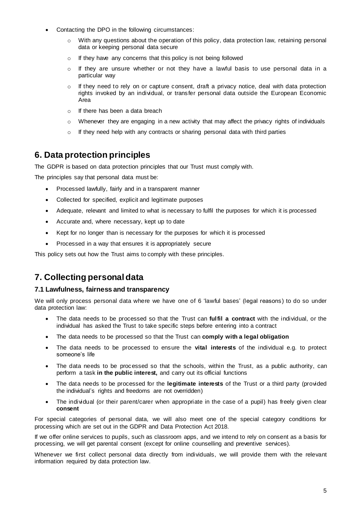- Contacting the DPO in the following circumstances:
	- $\circ$  With any questions about the operation of this policy, data protection law, retaining personal data or keeping personal data secure
	- o If they have any concerns that this policy is not being followed
	- $\circ$  If they are unsure whether or not they have a lawful basis to use personal data in a particular way
	- $\circ$  If they need to rely on or capture consent, draft a privacy notice, deal with data protection rights invoked by an individual, or transfer personal data outside the European Economic Area
	- o If there has been a data breach
	- $\circ$  Whenever they are engaging in a new activity that may affect the privacy rights of individuals
	- o If they need help with any contracts or sharing personal data with third parties

## **6. Data protection principles**

The GDPR is based on data protection principles that our Trust must comply with.

The principles say that personal data must be:

- Processed lawfully, fairly and in a transparent manner
- Collected for specified, explicit and legitimate purposes
- Adequate, relevant and limited to what is necessary to fulfil the purposes for which it is processed
- Accurate and, where necessary, kept up to date
- Kept for no longer than is necessary for the purposes for which it is processed
- Processed in a way that ensures it is appropriately secure

This policy sets out how the Trust aims to comply with these principles.

## **7. Collecting personal data**

#### **7.1 Lawfulness, fairness and transparency**

We will only process personal data where we have one of 6 'lawful bases' (legal reasons) to do so under data protection law:

- The data needs to be processed so that the Trust can **fulfil a contract** with the individual, or the individual has asked the Trust to take specific steps before entering into a contract
- The data needs to be processed so that the Trust can **comply with a legal obligation**
- The data needs to be processed to ensure the **vital interests** of the individual e.g. to protect someone's life
- The data needs to be processed so that the schools, within the Trust, as a public authority, can perform a task **in the public interest,** and carry out its official functions
- The data needs to be processed for the **legitimate interests** of the Trust or a third party (provided the individual's rights and freedoms are not overridden)
- The individual (or their parent/carer when appropriate in the case of a pupil) has freely given clear **consent**

For special categories of personal data, we will also meet one of the special category conditions for processing which are set out in the GDPR and Data Protection Act 2018.

If we offer online services to pupils, such as classroom apps, and we intend to rely on consent as a basis for processing, we will get parental consent (except for online counselling and preventive services).

Whenever we first collect personal data directly from individuals, we will provide them with the relevant information required by data protection law.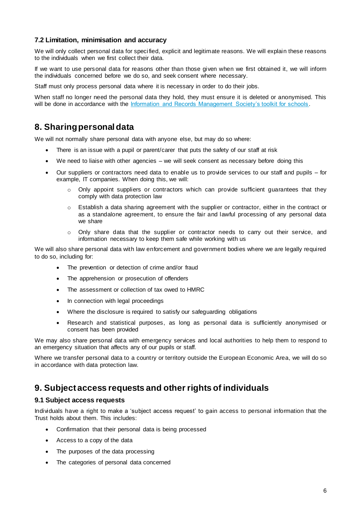#### **7.2 Limitation, minimisation and accuracy**

We will only collect personal data for speci fied, explicit and legitimate reasons. We will explain these reasons to the individuals when we first collect their data.

If we want to use personal data for reasons other than those given when we first obtained it, we will inform the individuals concerned before we do so, and seek consent where necessary.

Staff must only process personal data where it is necessary in order to do their jobs.

When staff no longer need the personal data they hold, they must ensure it is deleted or anonymised. This will be done in accordance with the [Information and Records Management Society's toolkit for schools.](http://irms.org.uk/?page=schoolstoolkit&terms=%22toolkit+and+schools%22)

## **8. Sharing personal data**

We will not normally share personal data with anyone else, but may do so where:

- There is an issue with a pupil or parent/carer that puts the safety of our staff at risk
- We need to liaise with other agencies we will seek consent as necessary before doing this
- Our suppliers or contractors need data to enable us to provide services to our staff and pupils for example, IT companies. When doing this, we will:
	- $\circ$  Only appoint suppliers or contractors which can provide sufficient quarantees that they comply with data protection law
	- o Establish a data sharing agreement with the supplier or contractor, either in the contract or as a standalone agreement, to ensure the fair and lawful processing of any personal data we share
	- $\circ$  Only share data that the supplier or contractor needs to carry out their service, and information necessary to keep them safe while working with us

We will also share personal data with law enforcement and government bodies where we are legally required to do so, including for:

- The prevention or detection of crime and/or fraud
- The apprehension or prosecution of offenders
- The assessment or collection of tax owed to HMRC
- In connection with legal proceedings
- Where the disclosure is required to satisfy our safeguarding obligations
- Research and statistical purposes, as long as personal data is sufficiently anonymised or consent has been provided

We may also share personal data with emergency services and local authorities to help them to respond to an emergency situation that affects any of our pupils or staff.

Where we transfer personal data to a country or territory outside the European Economic Area, we will do so in accordance with data protection law.

### **9. Subject access requests and other rights of individuals**

#### **9.1 Subject access requests**

Individuals have a right to make a 'subject access request' to gain access to personal information that the Trust holds about them. This includes:

- Confirmation that their personal data is being processed
- Access to a copy of the data
- The purposes of the data processing
- The categories of personal data concerned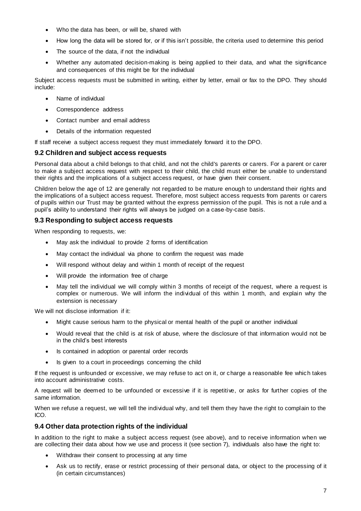- Who the data has been, or will be, shared with
- How long the data will be stored for, or if this isn't possible, the criteria used to determine this period
- The source of the data, if not the individual
- Whether any automated decision-making is being applied to their data, and what the significance and consequences of this might be for the individual

Subject access requests must be submitted in writing, either by letter, email or fax to the DPO. They should include:

- Name of individual
- Correspondence address
- Contact number and email address
- Details of the information requested

If staff receive a subject access request they must immediately forward it to the DPO.

#### **9.2 Children and subject access requests**

Personal data about a child belongs to that child, and not the child's parents or carers. For a parent or carer to make a subject access request with respect to their child, the child must either be unable to understand their rights and the implications of a subject access request, or have given their consent.

Children below the age of 12 are generally not regarded to be mature enough to understand their rights and the implications of a subject access request. Therefore, most subject access requests from parents or carers of pupils within our Trust may be granted without the express permission of the pupil. This is not a rule and a pupil's ability to understand their rights will always be judged on a case-by-case basis.

#### **9.3 Responding to subject access requests**

When responding to requests, we:

- May ask the individual to provide 2 forms of identification
- May contact the individual via phone to confirm the request was made
- Will respond without delay and within 1 month of receipt of the request
- Will provide the information free of charge
- May tell the individual we will comply within 3 months of receipt of the request, where a request is complex or numerous. We will inform the individual of this within 1 month, and explain why the extension is necessary

We will not disclose information if it:

- Might cause serious harm to the physical or mental health of the pupil or another individual
- Would reveal that the child is at risk of abuse, where the disclosure of that information would not be in the child's best interests
- Is contained in adoption or parental order records
- Is given to a court in proceedings concerning the child

If the request is unfounded or excessive, we may refuse to act on it, or charge a reasonable fee which takes into account administrative costs.

A request will be deemed to be unfounded or excessive if it is repetitive, or asks for further copies of the same information.

When we refuse a request, we will tell the individual why, and tell them they have the right to complain to the ICO.

#### **9.4 Other data protection rights of the individual**

In addition to the right to make a subject access request (see above), and to receive information when we are collecting their data about how we use and process it (see section 7), individuals also have the right to:

- Withdraw their consent to processing at any time
- Ask us to rectify, erase or restrict processing of their personal data, or object to the processing of it (in certain circumstances)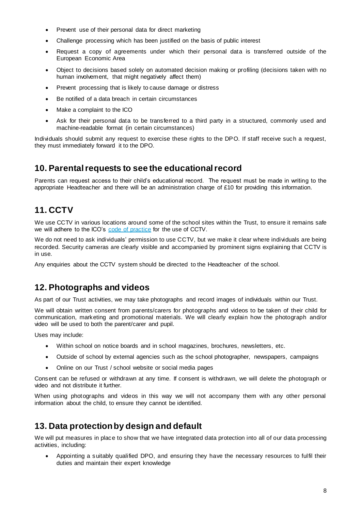- Prevent use of their personal data for direct marketing
- Challenge processing which has been justified on the basis of public interest
- Request a copy of agreements under which their personal data is transferred outside of the European Economic Area
- Object to decisions based solely on automated decision making or profiling (decisions taken with no human involvement, that might negatively affect them)
- Prevent processing that is likely to cause damage or distress
- Be notified of a data breach in certain circumstances
- Make a complaint to the ICO
- Ask for their personal data to be transferred to a third party in a structured, commonly used and machine-readable format (in certain circumstances)

Individuals should submit any request to exercise these rights to the DPO. If staff receive such a request, they must immediately forward it to the DPO.

## **10. Parental requests to see the educational record**

Parents can request access to their child's educational record. The request must be made in writing to the appropriate Headteacher and there will be an administration charge of £10 for providing this information.

## **11. CCTV**

We use CCTV in various locations around some of the school sites within the Trust, to ensure it remains safe we will adhere to the ICO's [code of practice](https://ico.org.uk/media/for-organisations/documents/1542/cctv-code-of-practice.pdf) for the use of CCTV.

We do not need to ask individuals' permission to use CCTV, but we make it clear where individuals are being recorded. Security cameras are clearly visible and accompanied by prominent signs explaining that CCTV is in use.

Any enquiries about the CCTV system should be directed to the Headteacher of the school.

## **12. Photographs and videos**

As part of our Trust activities, we may take photographs and record images of individuals within our Trust.

We will obtain written consent from parents/carers for photographs and videos to be taken of their child for communication, marketing and promotional materials. We will clearly explain how the photograph and/or video will be used to both the parent/carer and pupil.

Uses may include:

- Within school on notice boards and in school magazines, brochures, newsletters, etc.
- Outside of school by external agencies such as the school photographer, newspapers, campaigns
- Online on our Trust / school website or social media pages

Consent can be refused or withdrawn at any time. If consent is withdrawn, we will delete the photograph or video and not distribute it further.

When using photographs and videos in this way we will not accompany them with any other personal information about the child, to ensure they cannot be identified.

## **13. Data protection by design and default**

We will put measures in place to show that we have integrated data protection into all of our data processing activities, including:

 Appointing a suitably qualified DPO, and ensuring they have the necessary resources to fulfil their duties and maintain their expert knowledge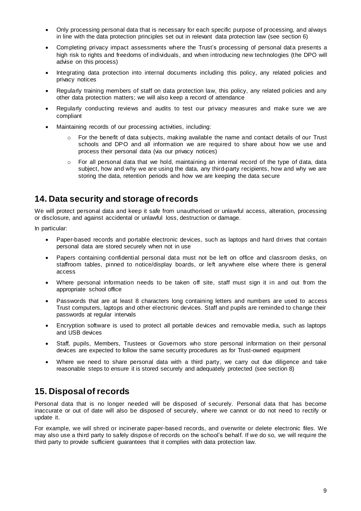- Only processing personal data that is necessary for each specific purpose of processing, and always in line with the data protection principles set out in relevant data protection law (see section 6)
- Completing privacy impact assessments where the Trust's processing of personal data presents a high risk to rights and freedoms of individuals, and when introducing new technologies (the DPO will advise on this process)
- Integrating data protection into internal documents including this policy, any related policies and privacy notices
- Regularly training members of staff on data protection law, this policy, any related policies and any other data protection matters; we will also keep a record of attendance
- Regularly conducting reviews and audits to test our privacy measures and make sure we are compliant
- Maintaining records of our processing activities, including:
	- $\circ$  For the benefit of data subjects, making available the name and contact details of our Trust schools and DPO and all information we are required to share about how we use and process their personal data (via our privacy notices)
	- $\circ$  For all personal data that we hold, maintaining an internal record of the type of data, data subject, how and why we are using the data, any third-party recipients, how and why we are storing the data, retention periods and how we are keeping the data secure

## **14. Data security and storage of records**

We will protect personal data and keep it safe from unauthorised or unlawful access, alteration, processing or disclosure, and against accidental or unlawful loss, destruction or damage.

In particular:

- Paper-based records and portable electronic devices, such as laptops and hard drives that contain personal data are stored securely when not in use
- Papers containing confidential personal data must not be left on office and classroom desks, on staffroom tables, pinned to notice/display boards, or left anywhere else where there is general access
- Where personal information needs to be taken off site, staff must sign it in and out from the appropriate school office
- Passwords that are at least 8 characters long containing letters and numbers are used to access Trust computers, laptops and other electronic devices. Staff and pupils are reminded to change their passwords at regular intervals
- Encryption software is used to protect all portable devices and removable media, such as laptops and USB devices
- Staff, pupils, Members, Trustees or Governors who store personal information on their personal devices are expected to follow the same security procedures as for Trust-owned equipment
- Where we need to share personal data with a third party, we carry out due diligence and take reasonable steps to ensure it is stored securely and adequately protected (see section 8)

## **15. Disposal of records**

Personal data that is no longer needed will be disposed of securely. Personal data that has become inaccurate or out of date will also be disposed of securely, where we cannot or do not need to rectify or update it.

For example, we will shred or incinerate paper-based records, and overwrite or delete electronic files. We may also use a third party to safely dispose of records on the school's behalf. If we do so, we will require the third party to provide sufficient guarantees that it complies with data protection law.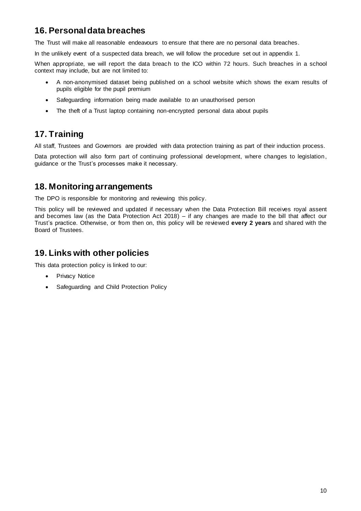# **16. Personal data breaches**

The Trust will make all reasonable endeavours to ensure that there are no personal data breaches.

In the unlikely event of a suspected data breach, we will follow the procedure set out in appendix 1.

When appropriate, we will report the data breach to the ICO within 72 hours. Such breaches in a school context may include, but are not limited to:

- A non-anonymised dataset being published on a school website which shows the exam results of pupils eligible for the pupil premium
- Safeguarding information being made available to an unauthorised person
- The theft of a Trust laptop containing non-encrypted personal data about pupils

## **17. Training**

All staff, Trustees and Governors are provided with data protection training as part of their induction process.

Data protection will also form part of continuing professional development, where changes to legislation, guidance or the Trust's processes make it necessary.

## **18. Monitoring arrangements**

The DPO is responsible for monitoring and reviewing this policy.

This policy will be reviewed and updated if necessary when the Data Protection Bill receives royal assent and becomes law (as the Data Protection Act 2018) – if any changes are made to the bill that affect our Trust's practice. Otherwise, or from then on, this policy will be reviewed **every 2 years** and shared with the Board of Trustees.

## **19. Links with other policies**

This data protection policy is linked to our:

- Privacy Notice
- Safeguarding and Child Protection Policy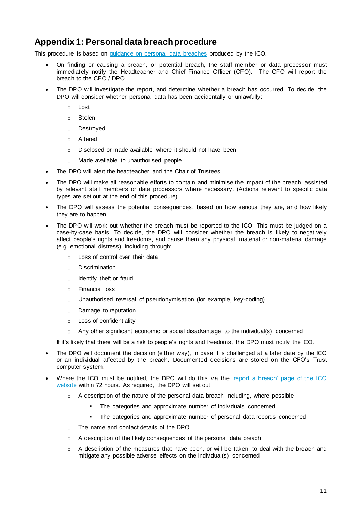## **Appendix 1: Personal data breach procedure**

This procedure is based on [guidance on personal data breaches](https://ico.org.uk/for-organisations/guide-to-the-general-data-protection-regulation-gdpr/personal-data-breaches/) produced by the ICO.

- On finding or causing a breach, or potential breach, the staff member or data processor must immediately notify the Headteacher and Chief Finance Officer (CFO). The CFO will report the breach to the CEO / DPO.
- The DPO will investigate the report, and determine whether a breach has occurred. To decide, the DPO will consider whether personal data has been accidentally or unlawfully:
	- o Lost
	- o Stolen
	- o Destroyed
	- o Altered
	- o Disclosed or made available where it should not have been
	- o Made available to unauthorised people
- The DPO will alert the headteacher and the Chair of Trustees
- The DPO will make all reasonable efforts to contain and minimise the impact of the breach, assisted by relevant staff members or data processors where necessary. (Actions relevant to specific data types are set out at the end of this procedure)
- The DPO will assess the potential consequences, based on how serious they are, and how likely they are to happen
- The DPO will work out whether the breach must be reported to the ICO. This must be judged on a case-by-case basis. To decide, the DPO will consider whether the breach is likely to negatively affect people's rights and freedoms, and cause them any physical, material or non-material damage (e.g. emotional distress), including through:
	- o Loss of control over their data
	- o Discrimination
	- o Identify theft or fraud
	- o Financial loss
	- o Unauthorised reversal of pseudonymisation (for example, key-coding)
	- o Damage to reputation
	- o Loss of confidentiality
	- o Any other significant economic or social disadvantage to the individual(s) concerned

If it's likely that there will be a risk to people's rights and freedoms, the DPO must notify the ICO.

- The DPO will document the decision (either way), in case it is challenged at a later date by the ICO or an individual affected by the breach. Documented decisions are stored on the CFO's Trust computer system.
- Where the ICO must be notified, the DPO will do this via the 'report a breach' page of the ICO [website](https://ico.org.uk/for-organisations/report-a-breach/) within 72 hours. As required, the DPO will set out:
	- $\circ$  A description of the nature of the personal data breach including, where possible:
		- **The categories and approximate number of individuals concerned**
		- The categories and approximate number of personal data records concerned
	- o The name and contact details of the DPO
	- o A description of the likely consequences of the personal data breach
	- $\circ$  A description of the measures that have been, or will be taken, to deal with the breach and mitigate any possible adverse effects on the individual(s) concerned